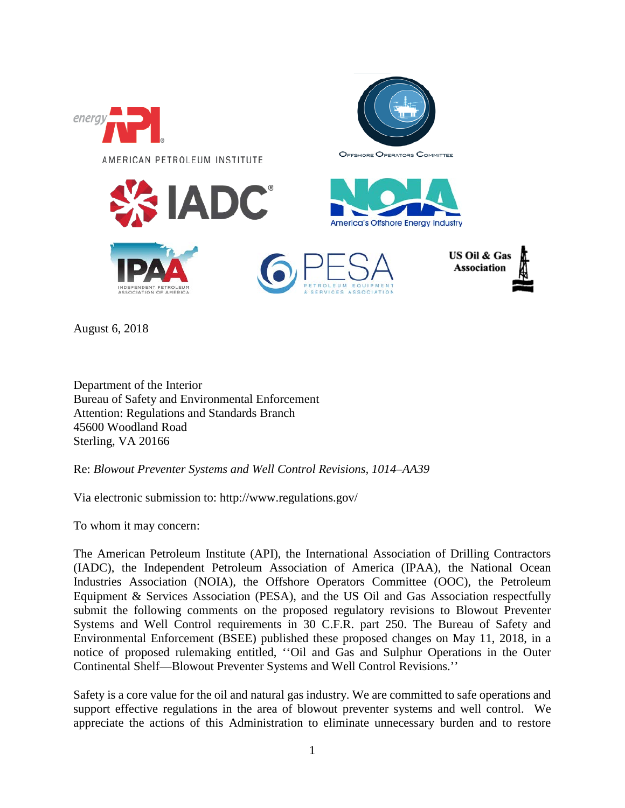

August 6, 2018

Department of the Interior Bureau of Safety and Environmental Enforcement Attention: Regulations and Standards Branch 45600 Woodland Road Sterling, VA 20166

Re: *Blowout Preventer Systems and Well Control Revisions, 1014–AA39*

Via electronic submission to: http://www.regulations.gov/

To whom it may concern:

The American Petroleum Institute (API), the International Association of Drilling Contractors (IADC), the Independent Petroleum Association of America (IPAA), the National Ocean Industries Association (NOIA), the Offshore Operators Committee (OOC), the Petroleum Equipment & Services Association (PESA), and the US Oil and Gas Association respectfully submit the following comments on the proposed regulatory revisions to Blowout Preventer Systems and Well Control requirements in 30 C.F.R. part 250. The Bureau of Safety and Environmental Enforcement (BSEE) published these proposed changes on May 11, 2018, in a notice of proposed rulemaking entitled, ''Oil and Gas and Sulphur Operations in the Outer Continental Shelf—Blowout Preventer Systems and Well Control Revisions.''

Safety is a core value for the oil and natural gas industry. We are committed to safe operations and support effective regulations in the area of blowout preventer systems and well control. We appreciate the actions of this Administration to eliminate unnecessary burden and to restore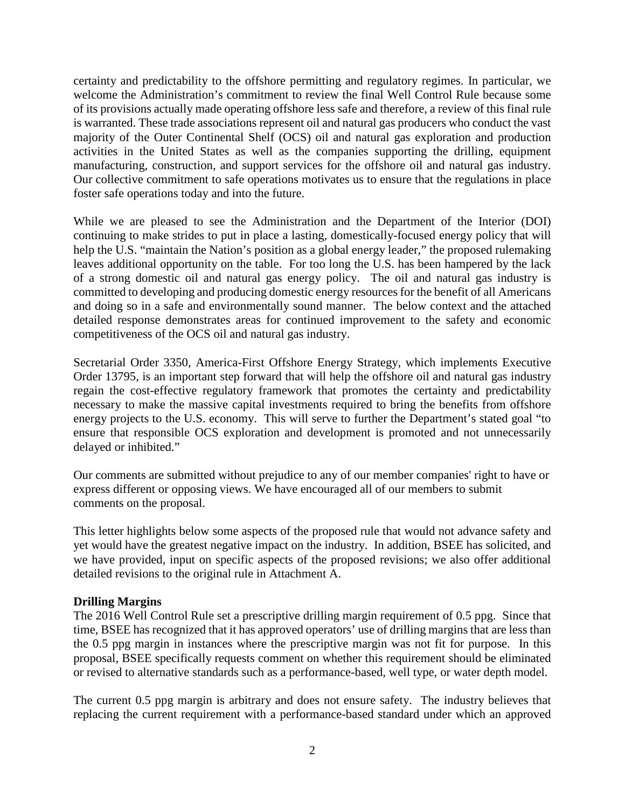certainty and predictability to the offshore permitting and regulatory regimes. In particular, we welcome the Administration's commitment to review the final Well Control Rule because some of its provisions actually made operating offshore less safe and therefore, a review of this final rule is warranted. These trade associations represent oil and natural gas producers who conduct the vast majority of the Outer Continental Shelf (OCS) oil and natural gas exploration and production activities in the United States as well as the companies supporting the drilling, equipment manufacturing, construction, and support services for the offshore oil and natural gas industry. Our collective commitment to safe operations motivates us to ensure that the regulations in place foster safe operations today and into the future.

While we are pleased to see the Administration and the Department of the Interior (DOI) continuing to make strides to put in place a lasting, domestically-focused energy policy that will help the U.S. "maintain the Nation's position as a global energy leader," the proposed rulemaking leaves additional opportunity on the table. For too long the U.S. has been hampered by the lack of a strong domestic oil and natural gas energy policy. The oil and natural gas industry is committed to developing and producing domestic energy resources for the benefit of all Americans and doing so in a safe and environmentally sound manner. The below context and the attached detailed response demonstrates areas for continued improvement to the safety and economic competitiveness of the OCS oil and natural gas industry.

Secretarial Order 3350, America-First Offshore Energy Strategy, which implements Executive Order 13795, is an important step forward that will help the offshore oil and natural gas industry regain the cost-effective regulatory framework that promotes the certainty and predictability necessary to make the massive capital investments required to bring the benefits from offshore energy projects to the U.S. economy. This will serve to further the Department's stated goal "to ensure that responsible OCS exploration and development is promoted and not unnecessarily delayed or inhibited."

Our comments are submitted without prejudice to any of our member companies' right to have or express different or opposing views. We have encouraged all of our members to submit comments on the proposal.

This letter highlights below some aspects of the proposed rule that would not advance safety and yet would have the greatest negative impact on the industry. In addition, BSEE has solicited, and we have provided, input on specific aspects of the proposed revisions; we also offer additional detailed revisions to the original rule in Attachment A.

## **Drilling Margins**

The 2016 Well Control Rule set a prescriptive drilling margin requirement of 0.5 ppg. Since that time, BSEE has recognized that it has approved operators' use of drilling margins that are less than the 0.5 ppg margin in instances where the prescriptive margin was not fit for purpose. In this proposal, BSEE specifically requests comment on whether this requirement should be eliminated or revised to alternative standards such as a performance-based, well type, or water depth model.

The current 0.5 ppg margin is arbitrary and does not ensure safety. The industry believes that replacing the current requirement with a performance-based standard under which an approved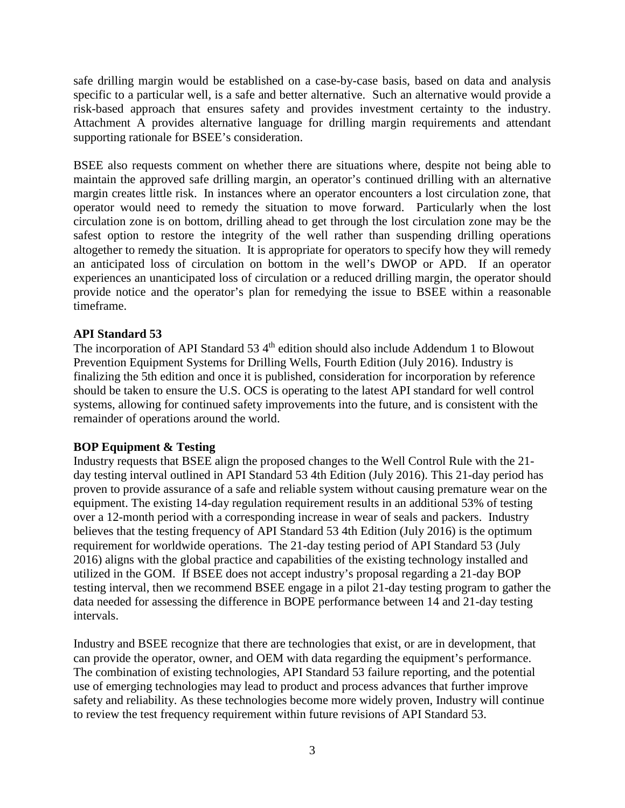safe drilling margin would be established on a case-by-case basis, based on data and analysis specific to a particular well, is a safe and better alternative. Such an alternative would provide a risk-based approach that ensures safety and provides investment certainty to the industry. Attachment A provides alternative language for drilling margin requirements and attendant supporting rationale for BSEE's consideration.

BSEE also requests comment on whether there are situations where, despite not being able to maintain the approved safe drilling margin, an operator's continued drilling with an alternative margin creates little risk. In instances where an operator encounters a lost circulation zone, that operator would need to remedy the situation to move forward. Particularly when the lost circulation zone is on bottom, drilling ahead to get through the lost circulation zone may be the safest option to restore the integrity of the well rather than suspending drilling operations altogether to remedy the situation. It is appropriate for operators to specify how they will remedy an anticipated loss of circulation on bottom in the well's DWOP or APD. If an operator experiences an unanticipated loss of circulation or a reduced drilling margin, the operator should provide notice and the operator's plan for remedying the issue to BSEE within a reasonable timeframe.

## **API Standard 53**

The incorporation of API Standard 53  $4<sup>th</sup>$  edition should also include Addendum 1 to Blowout Prevention Equipment Systems for Drilling Wells, Fourth Edition (July 2016). Industry is finalizing the 5th edition and once it is published, consideration for incorporation by reference should be taken to ensure the U.S. OCS is operating to the latest API standard for well control systems, allowing for continued safety improvements into the future, and is consistent with the remainder of operations around the world.

## **BOP Equipment & Testing**

Industry requests that BSEE align the proposed changes to the Well Control Rule with the 21 day testing interval outlined in API Standard 53 4th Edition (July 2016). This 21-day period has proven to provide assurance of a safe and reliable system without causing premature wear on the equipment. The existing 14-day regulation requirement results in an additional 53% of testing over a 12-month period with a corresponding increase in wear of seals and packers. Industry believes that the testing frequency of API Standard 53 4th Edition (July 2016) is the optimum requirement for worldwide operations. The 21-day testing period of API Standard 53 (July 2016) aligns with the global practice and capabilities of the existing technology installed and utilized in the GOM. If BSEE does not accept industry's proposal regarding a 21-day BOP testing interval, then we recommend BSEE engage in a pilot 21-day testing program to gather the data needed for assessing the difference in BOPE performance between 14 and 21-day testing intervals.

Industry and BSEE recognize that there are technologies that exist, or are in development, that can provide the operator, owner, and OEM with data regarding the equipment's performance. The combination of existing technologies, API Standard 53 failure reporting, and the potential use of emerging technologies may lead to product and process advances that further improve safety and reliability. As these technologies become more widely proven, Industry will continue to review the test frequency requirement within future revisions of API Standard 53.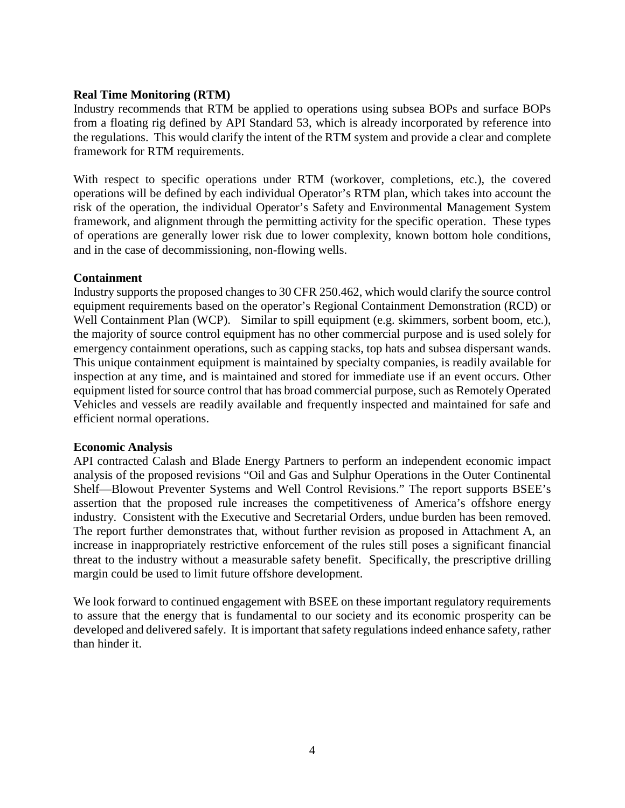## **Real Time Monitoring (RTM)**

Industry recommends that RTM be applied to operations using subsea BOPs and surface BOPs from a floating rig defined by API Standard 53, which is already incorporated by reference into the regulations. This would clarify the intent of the RTM system and provide a clear and complete framework for RTM requirements.

With respect to specific operations under RTM (workover, completions, etc.), the covered operations will be defined by each individual Operator's RTM plan, which takes into account the risk of the operation, the individual Operator's Safety and Environmental Management System framework, and alignment through the permitting activity for the specific operation. These types of operations are generally lower risk due to lower complexity, known bottom hole conditions, and in the case of decommissioning, non-flowing wells.

# **Containment**

Industry supports the proposed changes to 30 CFR 250.462, which would clarify the source control equipment requirements based on the operator's Regional Containment Demonstration (RCD) or Well Containment Plan (WCP). Similar to spill equipment (e.g. skimmers, sorbent boom, etc.), the majority of source control equipment has no other commercial purpose and is used solely for emergency containment operations, such as capping stacks, top hats and subsea dispersant wands. This unique containment equipment is maintained by specialty companies, is readily available for inspection at any time, and is maintained and stored for immediate use if an event occurs. Other equipment listed for source control that has broad commercial purpose, such as Remotely Operated Vehicles and vessels are readily available and frequently inspected and maintained for safe and efficient normal operations.

## **Economic Analysis**

API contracted Calash and Blade Energy Partners to perform an independent economic impact analysis of the proposed revisions "Oil and Gas and Sulphur Operations in the Outer Continental Shelf—Blowout Preventer Systems and Well Control Revisions." The report supports BSEE's assertion that the proposed rule increases the competitiveness of America's offshore energy industry. Consistent with the Executive and Secretarial Orders, undue burden has been removed. The report further demonstrates that, without further revision as proposed in Attachment A, an increase in inappropriately restrictive enforcement of the rules still poses a significant financial threat to the industry without a measurable safety benefit. Specifically, the prescriptive drilling margin could be used to limit future offshore development.

We look forward to continued engagement with BSEE on these important regulatory requirements to assure that the energy that is fundamental to our society and its economic prosperity can be developed and delivered safely. It is important that safety regulations indeed enhance safety, rather than hinder it.